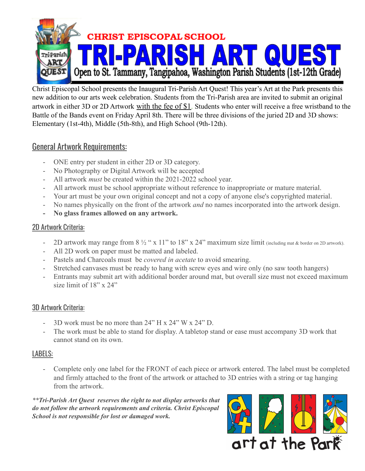

Christ Episcopal School presents the Inaugural Tri-Parish Art Quest! This year's Art at the Park presents this new addition to our arts week celebration. Students from the Tri-Parish area are invited to submit an original artwork in either 3D or 2D Artwork with the fee of \$1. Students who enter will receive a free wristband to the Battle of the Bands event on Friday April 8th. There will be three divisions of the juried 2D and 3D shows: Elementary (1st-4th), Middle (5th-8th), and High School (9th-12th).

### General Artwork Requirements:

- ONE entry per student in either 2D or 3D category.
- No Photography or Digital Artwork will be accepted
- All artwork *must* be created within the 2021-2022 school year.
- All artwork must be school appropriate without reference to inappropriate or mature material.
- Your art must be your own original concept and not a copy of anyone else's copyrighted material.
- No names physically on the front of the artwork *and* no names incorporated into the artwork design.
- **- No glass frames allowed on any artwork.**

#### 2D Artwork Criteria:

- 2D artwork may range from 8  $\frac{1}{2}$  " x 11" to 18" x 24" maximum size limit (including mat & border on 2D artwork).
- All 2D work on paper must be matted and labeled.
- Pastels and Charcoals must be *covered in acetate* to avoid smearing.
- Stretched canvases must be ready to hang with screw eyes and wire only (no saw tooth hangers)
- Entrants may submit art with additional border around mat, but overall size must not exceed maximum size limit of 18" x 24"

#### 3D Artwork Criteria:

- 3D work must be no more than 24" H x 24" W x 24" D.
- The work must be able to stand for display. A tabletop stand or ease must accompany 3D work that cannot stand on its own.

#### LABELS:

Complete only one label for the FRONT of each piece or artwork entered. The label must be completed and firmly attached to the front of the artwork or attached to 3D entries with a string or tag hanging from the artwork.

*\*\*Tri-Parish Art Quest reserves the right to not display artworks that do not follow the artwork requirements and criteria. Christ Episcopal School is not responsible for lost or damaged work.*

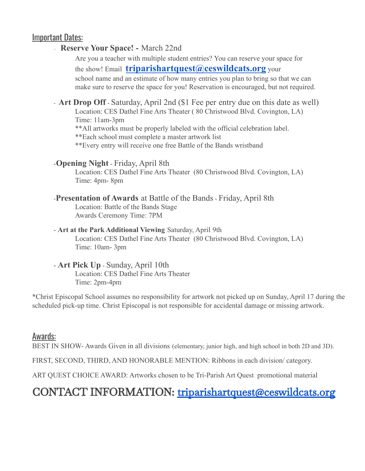#### Important Dates:

#### - **Reserve Your Space! -** March 22nd

Are you a teacher with multiple student entries? You can reserve your space for the show! Email **[triparishartquest@ceswildcats.org](mailto:triparishartquest@ceswildcats.org)** your school name and an estimate of how many entries you plan to bring so that we can make sure to reserve the space for you! Reservation is encouraged, but not required.

- **Art Drop Off** - Saturday, April 2nd (\$1 Fee per entry due on this date as well) Location: CES Dathel Fine Arts Theater ( 80 Christwood Blvd. Covington, LA) Time: 11am-3pm

\*\*All artworks must be properly labeled with the official celebration label.

\*\*Each school must complete a master artwork list

\*\*Every entry will receive one free Battle of the Bands wristband

#### -**Opening Night** - Friday, April 8th

Location: CES Dathel Fine Arts Theater (80 Christwood Blvd. Covington, LA) Time: 4pm- 8pm

#### -**Presentation of Awards** at Battle of the Bands - Friday, April 8th Location: Battle of the Bands Stage Awards Ceremony Time: 7PM

- **Art at the Park Additional Viewing** Saturday, April 9th Location: CES Dathel Fine Arts Theater (80 Christwood Blvd. Covington, LA) Time: 10am- 3pm

#### - **Art Pick Up** - Sunday, April 10th

Location: CES Dathel Fine Arts Theater Time: 2pm-4pm

\*Christ Episcopal School assumes no responsibility for artwork not picked up on Sunday, April 17 during the scheduled pick-up time. Christ Episcopal is not responsible for accidental damage or missing artwork.

#### Awards:

BEST IN SHOW- Awards Given in all divisions (elementary, junior high, and high school in both 2D and 3D).

FIRST, SECOND, THIRD, AND HONORABLE MENTION: Ribbons in each division/ category.

ART QUEST CHOICE AWARD: Artworks chosen to be Tri-Parish Art Quest promotional material

## CONTACT INFORMATION: [triparishartquest@ceswildcats.org](mailto:triparishartquest@ceswildcats.org)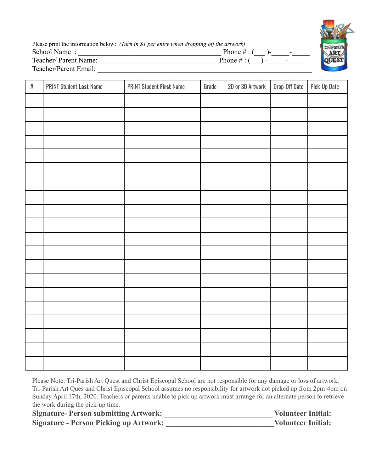| Please print the information below: (Turn in \$1 per entry when dropping off the artwork) |                  |  |  |
|-------------------------------------------------------------------------------------------|------------------|--|--|
| School Name:                                                                              | Phone $\#$ : (   |  |  |
| Teacher/ Parent Name:                                                                     | Phone $\#$ : ( ) |  |  |
| Teacher/Parent Email:                                                                     |                  |  |  |

| $\#$ | <b>PRINT Student Last Name</b> | <b>PRINT Student First Name</b> | Grade | 2D or 3D Artwork | Drop-Off Date | Pick-Up Date |
|------|--------------------------------|---------------------------------|-------|------------------|---------------|--------------|
|      |                                |                                 |       |                  |               |              |
|      |                                |                                 |       |                  |               |              |
|      |                                |                                 |       |                  |               |              |
|      |                                |                                 |       |                  |               |              |
|      |                                |                                 |       |                  |               |              |
|      |                                |                                 |       |                  |               |              |
|      |                                |                                 |       |                  |               |              |
|      |                                |                                 |       |                  |               |              |
|      |                                |                                 |       |                  |               |              |
|      |                                |                                 |       |                  |               |              |
|      |                                |                                 |       |                  |               |              |
|      |                                |                                 |       |                  |               |              |
|      |                                |                                 |       |                  |               |              |
|      |                                |                                 |       |                  |               |              |
|      |                                |                                 |       |                  |               |              |
|      |                                |                                 |       |                  |               |              |
|      |                                |                                 |       |                  |               |              |
|      |                                |                                 |       |                  |               |              |
|      |                                |                                 |       |                  |               |              |
|      |                                |                                 |       |                  |               |              |

Please Note: Tri-Parish Art Quest and Christ Episcopal School are not responsible for any damage or loss of artwork. Tri-Parish Art Ques and Christ Episcopal School assumes no responsibility for artwork not picked up from 2pm-4pm on Sunday April 17th, 2020. Teachers or parents unable to pick up artwork must arrange for an alternate person to retrieve the work during the pick-up time.

| <b>Signature-Person submitting Artwork:</b>   | <b>Volunteer Initial:</b> |
|-----------------------------------------------|---------------------------|
| <b>Signature - Person Picking up Artwork:</b> | <b>Volunteer Initial:</b> |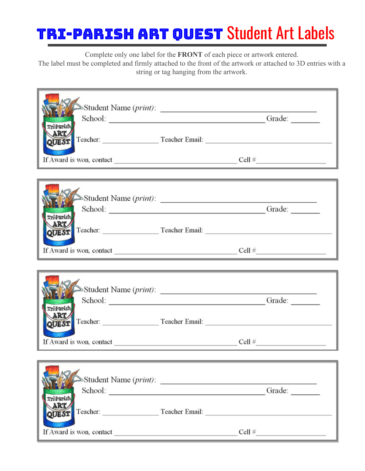# TRI-PARISH ART QUEST Student Art Labels

Complete only one label for the **FRONT** of each piece or artwork entered.

The label must be completed and firmly attached to the front of the artwork or attached to 3D entries with a string or tag hanging from the artwork.

| Tri Parish<br>ART<br>QUEST Teacher: Teacher Email:<br>If Award is won, contact $\frac{1}{\sqrt{1-\frac{1}{\sqrt{1-\frac{1}{\sqrt{1-\frac{1}{\sqrt{1-\frac{1}{\sqrt{1-\frac{1}{\sqrt{1-\frac{1}{\sqrt{1-\frac{1}{\sqrt{1-\frac{1}{\sqrt{1-\frac{1}{\sqrt{1-\frac{1}{\sqrt{1-\frac{1}{\sqrt{1-\frac{1}{\sqrt{1-\frac{1}{\sqrt{1-\frac{1}{\sqrt{1-\frac{1}{\sqrt{1-\frac{1}{\sqrt{1-\frac{1}{\sqrt{1-\frac{1}{\sqrt{1-\frac{1}{\sqrt{1-\frac{1}{\sqrt{1-\frac{1}{\$ | $\triangle$ Student Name ( <i>print</i> ):<br>School: Campaign Contact Contact Contact Contact Contact Contact Contact Contact Contact Contact Contact Contact Contact Contact Contact Contact Contact Contact Contact Contact Contact Contact Contact Contact Contact Conta<br><u> 1989 - Jan Samuel Barbara, marka a shekara ta 1989 - An tsara tsara tsara tsara tsara tsara tsara tsara tsar</u> |  |
|------------------------------------------------------------------------------------------------------------------------------------------------------------------------------------------------------------------------------------------------------------------------------------------------------------------------------------------------------------------------------------------------------------------------------------------------------------------|------------------------------------------------------------------------------------------------------------------------------------------------------------------------------------------------------------------------------------------------------------------------------------------------------------------------------------------------------------------------------------------------------|--|
|                                                                                                                                                                                                                                                                                                                                                                                                                                                                  |                                                                                                                                                                                                                                                                                                                                                                                                      |  |
| Tri-Parish<br>ART<br>QUEST Teacher: Teacher Email:                                                                                                                                                                                                                                                                                                                                                                                                               |                                                                                                                                                                                                                                                                                                                                                                                                      |  |
| If Award is won, contact $\qquad \qquad \qquad \qquad \qquad \text{Cell } \#$                                                                                                                                                                                                                                                                                                                                                                                    |                                                                                                                                                                                                                                                                                                                                                                                                      |  |
|                                                                                                                                                                                                                                                                                                                                                                                                                                                                  |                                                                                                                                                                                                                                                                                                                                                                                                      |  |
| Tri-Parish                                                                                                                                                                                                                                                                                                                                                                                                                                                       | Student Name ( <i>print</i> ):<br>School: Campaign Contact Contact Contact Contact Contact Contact Contact Contact Contact Contact Contact Contact Contact Contact Contact Contact Contact Contact Contact Contact Contact Contact Contact Contact Contact Conta                                                                                                                                     |  |
| ART<br>QUEST Teacher: Teacher Email:                                                                                                                                                                                                                                                                                                                                                                                                                             |                                                                                                                                                                                                                                                                                                                                                                                                      |  |
|                                                                                                                                                                                                                                                                                                                                                                                                                                                                  |                                                                                                                                                                                                                                                                                                                                                                                                      |  |
| If Award is won, contact $\qquad \qquad \qquad \qquad \qquad \qquad \qquad \text{Cell } \#$                                                                                                                                                                                                                                                                                                                                                                      |                                                                                                                                                                                                                                                                                                                                                                                                      |  |
| rri Parish                                                                                                                                                                                                                                                                                                                                                                                                                                                       | School: Crade: Capacitation Contains Contains Contains Contains Contains Contains Contains Contains Contains Contains Contains Contains Contains Contains Contains Contains Contains Contains Contains Contains Contains Conta                                                                                                                                                                       |  |
| <b>ART</b><br><b>QUEST</b>                                                                                                                                                                                                                                                                                                                                                                                                                                       |                                                                                                                                                                                                                                                                                                                                                                                                      |  |